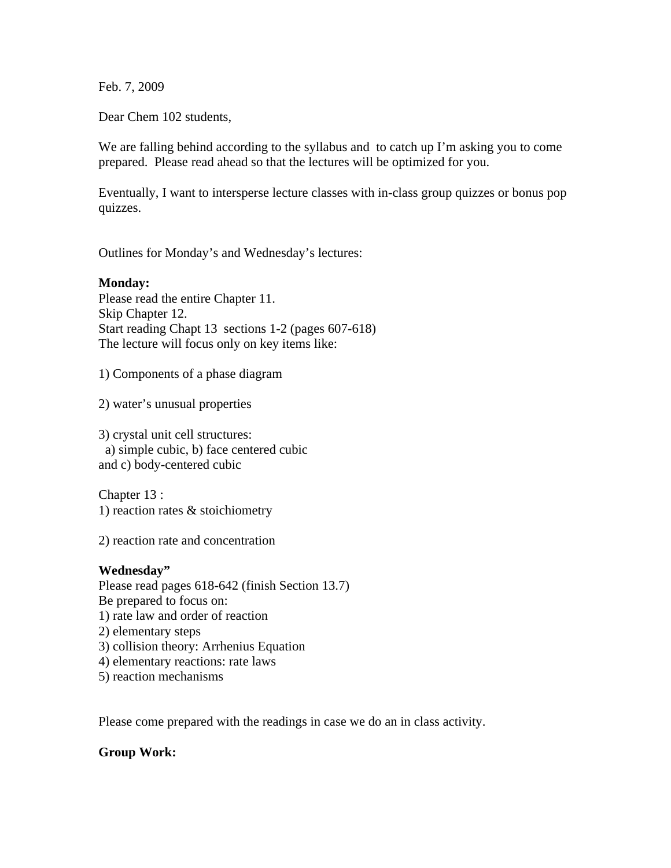Feb. 7, 2009

Dear Chem 102 students,

We are falling behind according to the syllabus and to catch up I'm asking you to come prepared. Please read ahead so that the lectures will be optimized for you.

Eventually, I want to intersperse lecture classes with in-class group quizzes or bonus pop quizzes.

Outlines for Monday's and Wednesday's lectures:

## **Monday:**

Please read the entire Chapter 11. Skip Chapter 12. Start reading Chapt 13 sections 1-2 (pages 607-618) The lecture will focus only on key items like:

1) Components of a phase diagram

2) water's unusual properties

3) crystal unit cell structures: a) simple cubic, b) face centered cubic and c) body-centered cubic

Chapter 13 : 1) reaction rates & stoichiometry

2) reaction rate and concentration

## **Wednesday"**

Please read pages 618-642 (finish Section 13.7) Be prepared to focus on: 1) rate law and order of reaction 2) elementary steps 3) collision theory: Arrhenius Equation 4) elementary reactions: rate laws 5) reaction mechanisms

Please come prepared with the readings in case we do an in class activity.

## **Group Work:**